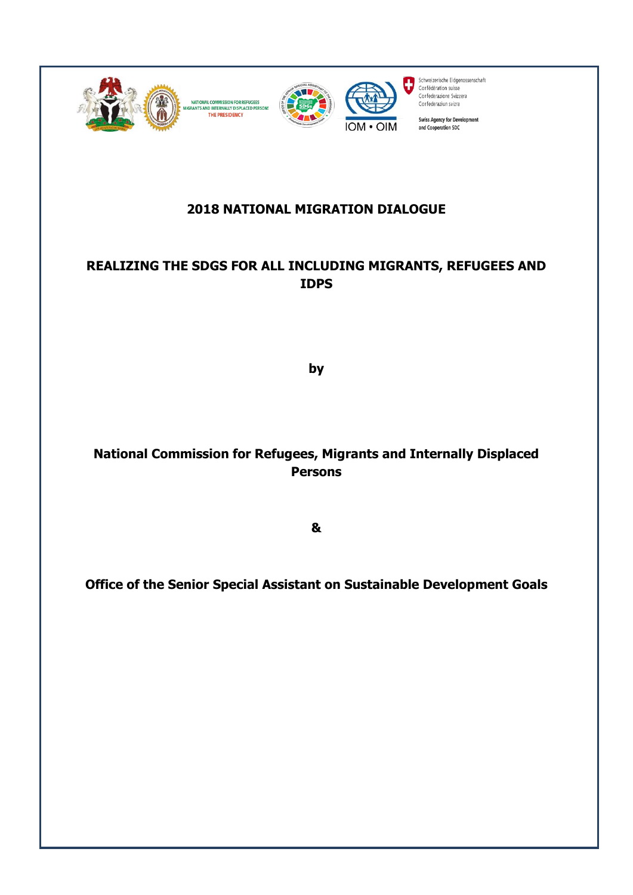

### **2018 NATIONAL MIGRATION DIALOGUE**

# **REALIZING THE SDGS FOR ALL INCLUDING MIGRANTS, REFUGEES AND IDPS**

**by**

# **National Commission for Refugees, Migrants and Internally Displaced Persons**

**&**

**Office of the Senior Special Assistant on Sustainable Development Goals**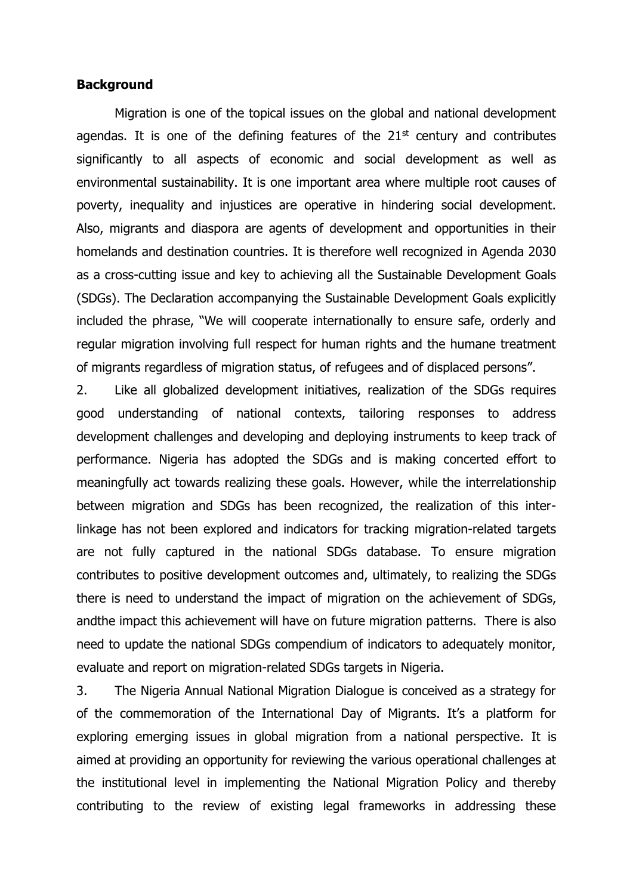### **Background**

Migration is one of the topical issues on the global and national development agendas. It is one of the defining features of the  $21<sup>st</sup>$  century and contributes significantly to all aspects of economic and social development as well as environmental sustainability. It is one important area where multiple root causes of poverty, inequality and injustices are operative in hindering social development. Also, migrants and diaspora are agents of development and opportunities in their homelands and destination countries. It is therefore well recognized in Agenda 2030 as a cross-cutting issue and key to achieving all the Sustainable Development Goals (SDGs). The Declaration accompanying the Sustainable Development Goals explicitly included the phrase, "We will cooperate internationally to ensure safe, orderly and regular migration involving full respect for human rights and the humane treatment of migrants regardless of migration status, of refugees and of displaced persons".

2. Like all globalized development initiatives, realization of the SDGs requires good understanding of national contexts, tailoring responses to address development challenges and developing and deploying instruments to keep track of performance. Nigeria has adopted the SDGs and is making concerted effort to meaningfully act towards realizing these goals. However, while the interrelationship between migration and SDGs has been recognized, the realization of this interlinkage has not been explored and indicators for tracking migration-related targets are not fully captured in the national SDGs database. To ensure migration contributes to positive development outcomes and, ultimately, to realizing the SDGs there is need to understand the impact of migration on the achievement of SDGs, andthe impact this achievement will have on future migration patterns. There is also need to update the national SDGs compendium of indicators to adequately monitor, evaluate and report on migration-related SDGs targets in Nigeria.

3. The Nigeria Annual National Migration Dialogue is conceived as a strategy for of the commemoration of the International Day of Migrants. It's a platform for exploring emerging issues in global migration from a national perspective. It is aimed at providing an opportunity for reviewing the various operational challenges at the institutional level in implementing the National Migration Policy and thereby contributing to the review of existing legal frameworks in addressing these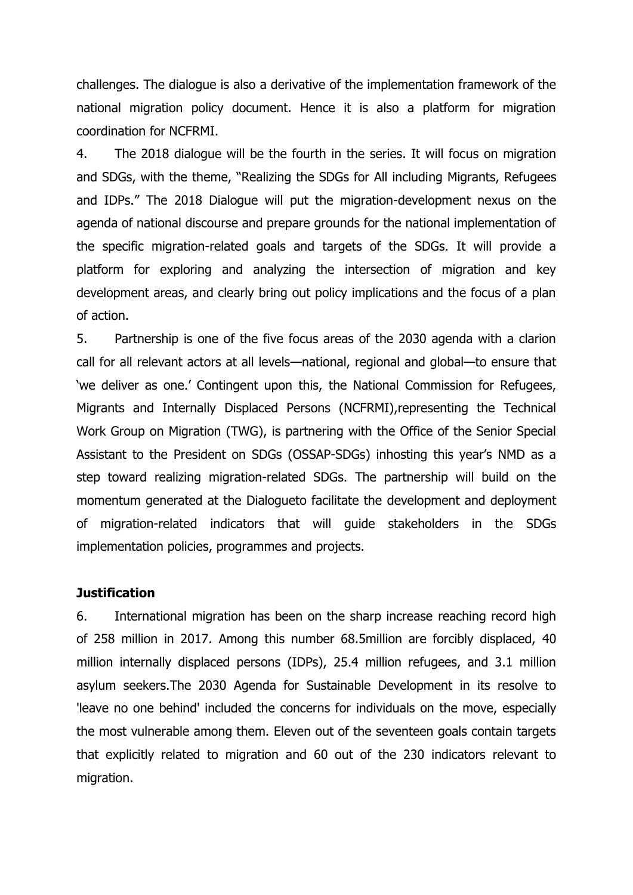challenges. The dialogue is also a derivative of the implementation framework of the national migration policy document. Hence it is also a platform for migration coordination for NCFRMI.

4. The 2018 dialogue will be the fourth in the series. It will focus on migration and SDGs, with the theme, "Realizing the SDGs for All including Migrants, Refugees and IDPs." The 2018 Dialogue will put the migration-development nexus on the agenda of national discourse and prepare grounds for the national implementation of the specific migration-related goals and targets of the SDGs. It will provide a platform for exploring and analyzing the intersection of migration and key development areas, and clearly bring out policy implications and the focus of a plan of action.

5. Partnership is one of the five focus areas of the 2030 agenda with a clarion call for all relevant actors at all levels—national, regional and global—to ensure that 'we deliver as one.' Contingent upon this, the National Commission for Refugees, Migrants and Internally Displaced Persons (NCFRMI),representing the Technical Work Group on Migration (TWG), is partnering with the Office of the Senior Special Assistant to the President on SDGs (OSSAP-SDGs) inhosting this year's NMD as a step toward realizing migration-related SDGs. The partnership will build on the momentum generated at the Dialogueto facilitate the development and deployment of migration-related indicators that will guide stakeholders in the SDGs implementation policies, programmes and projects.

#### **Justification**

6. International migration has been on the sharp increase reaching record high of 258 million in 2017. Among this number 68.5million are forcibly displaced, 40 million internally displaced persons (IDPs), 25.4 million refugees, and 3.1 million asylum seekers.The 2030 Agenda for Sustainable Development in its resolve to 'leave no one behind' included the concerns for individuals on the move, especially the most vulnerable among them. Eleven out of the seventeen goals contain targets that explicitly related to migration and 60 out of the 230 indicators relevant to migration.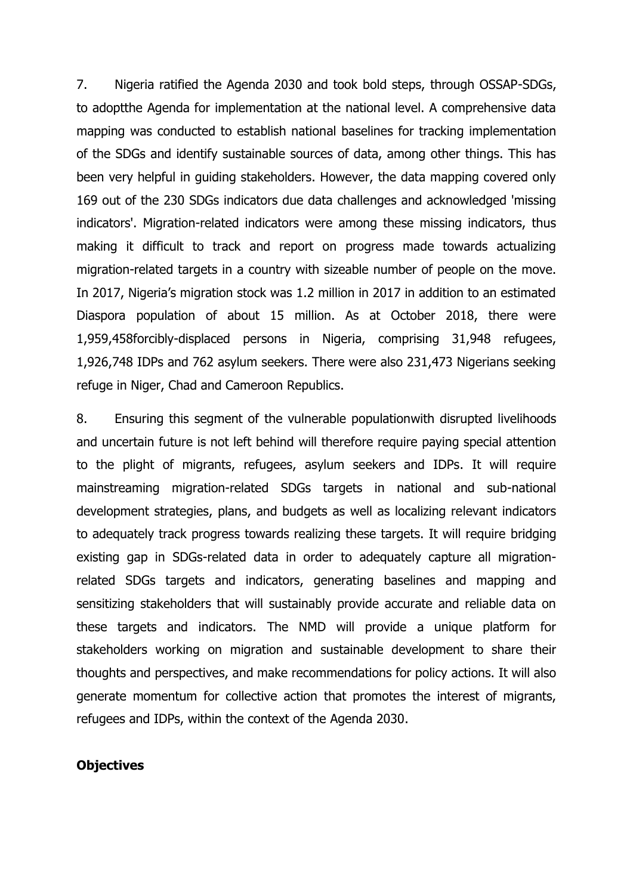7. Nigeria ratified the Agenda 2030 and took bold steps, through OSSAP-SDGs, to adoptthe Agenda for implementation at the national level. A comprehensive data mapping was conducted to establish national baselines for tracking implementation of the SDGs and identify sustainable sources of data, among other things. This has been very helpful in guiding stakeholders. However, the data mapping covered only 169 out of the 230 SDGs indicators due data challenges and acknowledged 'missing indicators'. Migration-related indicators were among these missing indicators, thus making it difficult to track and report on progress made towards actualizing migration-related targets in a country with sizeable number of people on the move. In 2017, Nigeria's migration stock was 1.2 million in 2017 in addition to an estimated Diaspora population of about 15 million. As at October 2018, there were 1,959,458forcibly-displaced persons in Nigeria, comprising 31,948 refugees, 1,926,748 IDPs and 762 asylum seekers. There were also 231,473 Nigerians seeking refuge in Niger, Chad and Cameroon Republics.

8. Ensuring this segment of the vulnerable populationwith disrupted livelihoods and uncertain future is not left behind will therefore require paying special attention to the plight of migrants, refugees, asylum seekers and IDPs. It will require mainstreaming migration-related SDGs targets in national and sub-national development strategies, plans, and budgets as well as localizing relevant indicators to adequately track progress towards realizing these targets. It will require bridging existing gap in SDGs-related data in order to adequately capture all migrationrelated SDGs targets and indicators, generating baselines and mapping and sensitizing stakeholders that will sustainably provide accurate and reliable data on these targets and indicators. The NMD will provide a unique platform for stakeholders working on migration and sustainable development to share their thoughts and perspectives, and make recommendations for policy actions. It will also generate momentum for collective action that promotes the interest of migrants, refugees and IDPs, within the context of the Agenda 2030.

### **Objectives**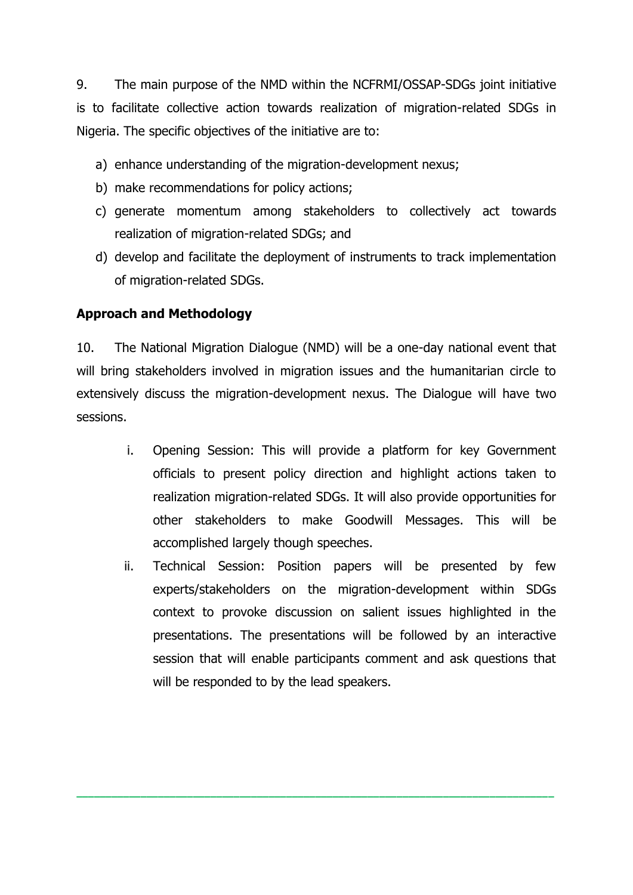9. The main purpose of the NMD within the NCFRMI/OSSAP-SDGs joint initiative is to facilitate collective action towards realization of migration-related SDGs in Nigeria. The specific objectives of the initiative are to:

- a) enhance understanding of the migration-development nexus;
- b) make recommendations for policy actions;
- c) generate momentum among stakeholders to collectively act towards realization of migration-related SDGs; and
- d) develop and facilitate the deployment of instruments to track implementation of migration-related SDGs.

### **Approach and Methodology**

10. The National Migration Dialogue (NMD) will be a one-day national event that will bring stakeholders involved in migration issues and the humanitarian circle to extensively discuss the migration-development nexus. The Dialogue will have two sessions.

- i. Opening Session: This will provide a platform for key Government officials to present policy direction and highlight actions taken to realization migration-related SDGs. It will also provide opportunities for other stakeholders to make Goodwill Messages. This will be accomplished largely though speeches.
- ii. Technical Session: Position papers will be presented by few experts/stakeholders on the migration-development within SDGs context to provoke discussion on salient issues highlighted in the presentations. The presentations will be followed by an interactive session that will enable participants comment and ask questions that will be responded to by the lead speakers.

**\_\_\_\_\_\_\_\_\_\_\_\_\_\_\_\_\_\_\_\_\_\_\_\_\_\_\_\_\_\_\_\_\_\_\_\_\_\_\_\_\_\_\_\_\_\_\_\_\_\_\_\_\_\_\_\_\_\_\_\_\_\_\_\_\_\_\_\_\_\_\_\_\_\_\_\_\_\_\_\_\_\_**